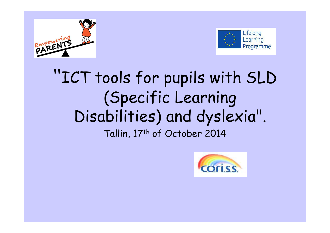



### "ICT tools for pupils with SLD (Specific Learning Disabilities) and dyslexia". Tallin, 17<sup>th</sup> of October 2014

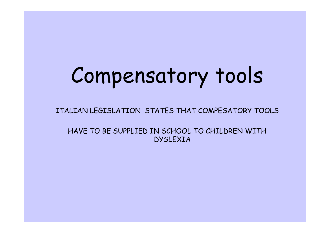# Compensatory tools

ITALIAN LEGISLATION STATES THAT COMPESATORY TOOLS

HAVE TO BE SUPPLIED IN SCHOOL TO CHILDREN WITH DYSLEXIA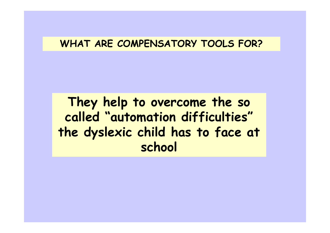#### **WHAT ARE COMPENSATORY TOOLS FOR?**

**They help to overcome the so called "automation difficulties" the dyslexic child has to face at school**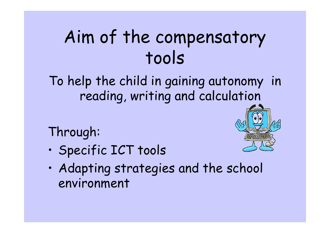## Aim of the compensatory tools

To help the child in gaining autonomy in reading, writing and calculation

Through:

•Specific ICT tools

- 
- • Adapting strategies and the school environment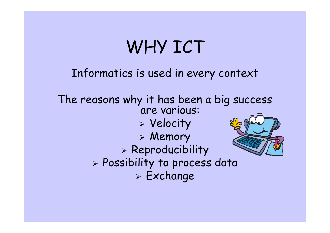## WHY ICT

### Informatics is used in every context

The reasons why it has been a big success<br>are various: Velocity Memory > Reproducibility Possibility to process data Exchange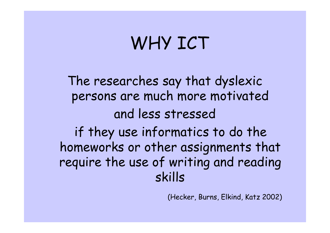## WHY ICT

The researches say that dyslexic persons are much more motivatedand less stressed if they use informatics to do the homeworks or other assignments that require the use of writing and reading skills

(Hecker, Burns, Elkind, Katz 2002)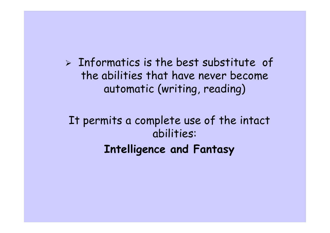$>$  Informatics is the best substitute of the abilities that have never become automatic (writing, reading)

It permits a complete use of the intact abilities:**Intelligence and Fantasy**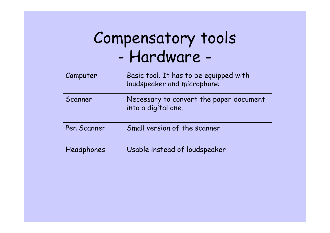### Compensatory tools-Hardware -

| Computer    | Basic tool. It has to be equipped with<br>laudspeaker and microphone |
|-------------|----------------------------------------------------------------------|
| Scanner     | Necessary to convert the paper document<br>into a digital one.       |
| Pen Scanner | Small version of the scanner                                         |
| Headphones  | Usable instead of loudspeaker                                        |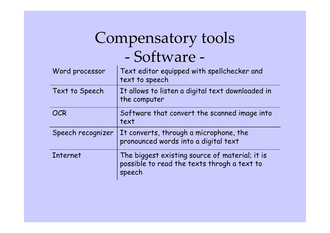### Compensatory tools -Software -

| Word processor    | Text editor equipped with spellchecker and<br>text to speech                                            |
|-------------------|---------------------------------------------------------------------------------------------------------|
| Text to Speech    | It allows to listen a digital text downloaded in<br>the computer                                        |
| <b>OCR</b>        | Software that convert the scanned image into<br>text                                                    |
| Speech recognizer | It converts, through a microphone, the<br>pronounced words into a digital text                          |
| Internet          | The biggest existing source of material; it is<br>possible to read the texts throgh a text to<br>speech |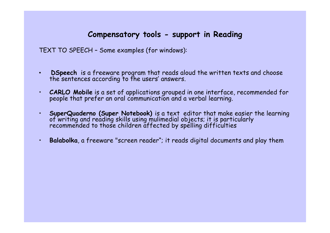#### **Compensatory tools - support in Reading**

TEXT TO SPEECH – Some examples (for windows):

- •**DSpeech** is a freeware program that reads aloud the written texts and choose the sentences according to the users' answers.
- •**CARLO Mobile** is a set of applications grouped in one interface, recommended for people that prefer an oral communication and a verbal learning.
- •**SuperQuaderno (Super Notebook)** is a text editor that make easier the learning<br>of writing and reading skills using mulimedial objects; it is particularly<br>recommended to those children affected by spelling difficulties
- •**Balabolka**, a freeware "screen reader"; it reads digital documents and play them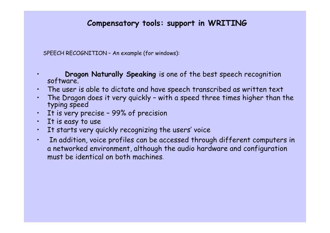#### **Compensatory tools: support in WRITING**

SPEECH RECOGNITION – An example (for windows):

**Dragon Naturally Speaking** is one of the best speech recognition software.

- •The user is able to dictate and have speech transcribed as written text
- •The Dragon does it very quickly - with a speed three times higher than the typing speed
- It is very precise 99% of precision•
- •It is easy to use

•

- It starts very quickly recognizing the users' voice •
- • In addition, voice profiles can be accessed through different computers in a networked environment, although the audio hardware and configuration must be identical on both machines.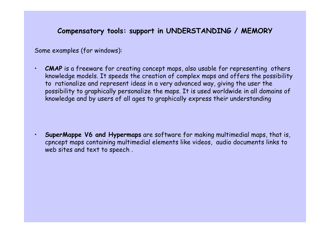#### **Compensatory tools: support in UNDERSTANDING / MEMORY**

Some examples (for windows):

•

•**CMAP** is a freeware for creating concept maps, also usable for representing others knowledge models. It speeds the creation of complex maps and offers the possibility to rationalize and represent ideas in a very advanced way, giving the user the possibility to graphically personalize the maps. It is used worldwide in all domains of knowledge and by users of all ages to graphically express their understanding

 **SuperMappe V6 and Hypermaps** are software for making multimedial maps, that is, cpncept maps containing multimedial elements like videos, audio documents links to web sites and text to speech .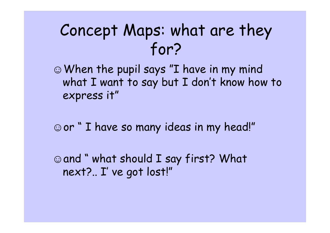### Concept Maps: what are they for?

☺When the pupil says "I have in my mind what I want to say but I don't know how to express it"

☺or " I have so many ideas in my head!"

☺and " what should I say first? What next?.. I' ve got lost!"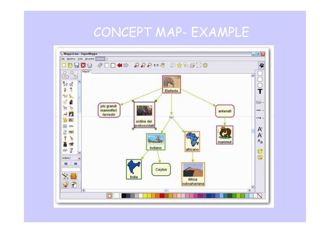### CONCEPT MAP- EXAMPLE

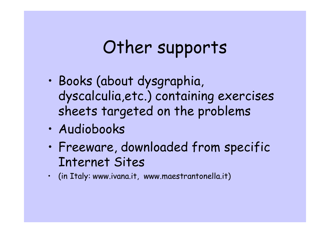## Other supports

- • Books (about dysgraphia, dyscalculia,etc.) containing exercises sheets targeted on the problems
- •Audiobooks
- • Freeware, downloaded from specific Internet Sites
- $\,$  (in Italy: www.ivana.it, www.maestrantonella.it)  $\,$